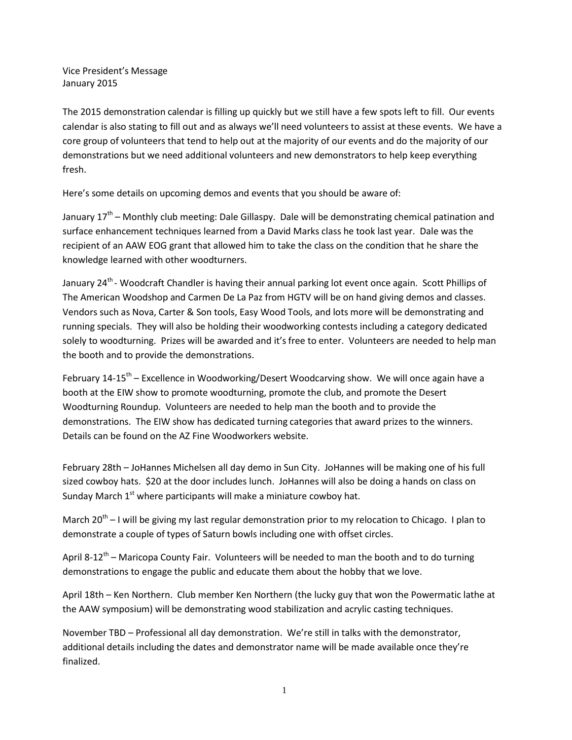Vice President's Message January 2015

The 2015 demonstration calendar is filling up quickly but we still have a few spots left to fill. Our events calendar is also stating to fill out and as always we'll need volunteers to assist at these events. We have a core group of volunteers that tend to help out at the majority of our events and do the majority of our demonstrations but we need additional volunteers and new demonstrators to help keep everything fresh.

Here's some details on upcoming demos and events that you should be aware of:

January 17<sup>th</sup> – Monthly club meeting: Dale Gillaspy. Dale will be demonstrating chemical patination and surface enhancement techniques learned from a David Marks class he took last year. Dale was the recipient of an AAW EOG grant that allowed him to take the class on the condition that he share the knowledge learned with other woodturners.

January 24<sup>th</sup> - Woodcraft Chandler is having their annual parking lot event once again. Scott Phillips of The American Woodshop and Carmen De La Paz from HGTV will be on hand giving demos and classes. Vendors such as Nova, Carter & Son tools, Easy Wood Tools, and lots more will be demonstrating and running specials. They will also be holding their woodworking contests including a category dedicated solely to woodturning. Prizes will be awarded and it's free to enter. Volunteers are needed to help man the booth and to provide the demonstrations.

February 14-15<sup>th</sup> – Excellence in Woodworking/Desert Woodcarving show. We will once again have a booth at the EIW show to promote woodturning, promote the club, and promote the Desert Woodturning Roundup. Volunteers are needed to help man the booth and to provide the demonstrations. The EIW show has dedicated turning categories that award prizes to the winners. Details can be found on the AZ Fine Woodworkers website.

February 28th – JoHannes Michelsen all day demo in Sun City. JoHannes will be making one of his full sized cowboy hats. \$20 at the door includes lunch. JoHannes will also be doing a hands on class on Sunday March 1<sup>st</sup> where participants will make a miniature cowboy hat.

March 20<sup>th</sup> – I will be giving my last regular demonstration prior to my relocation to Chicago. I plan to demonstrate a couple of types of Saturn bowls including one with offset circles.

April 8-12<sup>th</sup> – Maricopa County Fair. Volunteers will be needed to man the booth and to do turning demonstrations to engage the public and educate them about the hobby that we love.

April 18th – Ken Northern. Club member Ken Northern (the lucky guy that won the Powermatic lathe at the AAW symposium) will be demonstrating wood stabilization and acrylic casting techniques.

November TBD – Professional all day demonstration. We're still in talks with the demonstrator, additional details including the dates and demonstrator name will be made available once they're finalized.